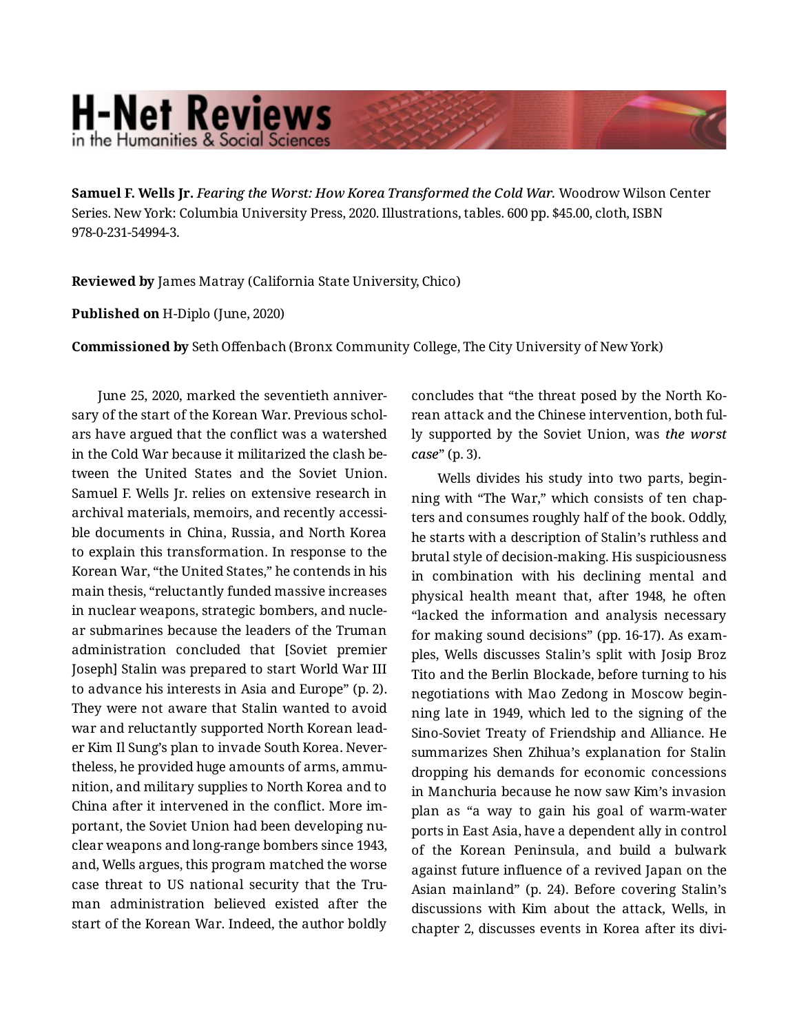## **H-Net Reviews** in the Humanities & Social Scienc

**Samuel F. Wells Jr.** *Fearing the Worst: How Korea Transformed the Cold War.* Woodrow Wilson Center Series. New York: Columbia University Press, 2020. Illustrations, tables. 600 pp. \$45.00, cloth, ISBN 978-0-231-54994-3.

**Reviewed by** James Matray (California State University, Chico)

**Published on** H-Diplo (June, 2020)

**Commissioned by** Seth Offenbach (Bronx Community College, The City University of New York)

June 25, 2020, marked the seventieth anniver‐ sary of the start of the Korean War. Previous schol‐ ars have argued that the conflict was a watershed in the Cold War because it militarized the clash be‐ tween the United States and the Soviet Union. Samuel F. Wells Jr. relies on extensive research in archival materials, memoirs, and recently accessi‐ ble documents in China, Russia, and North Korea to explain this transformation. In response to the Korean War, "the United States," he contends in his main thesis, "reluctantly funded massive increases in nuclear weapons, strategic bombers, and nucle‐ ar submarines because the leaders of the Truman administration concluded that [Soviet premier Joseph] Stalin was prepared to start World War III to advance his interests in Asia and Europe" (p. 2). They were not aware that Stalin wanted to avoid war and reluctantly supported North Korean lead‐ er Kim Il Sung's plan to invade South Korea. Never‐ theless, he provided huge amounts of arms, ammu‐ nition, and military supplies to North Korea and to China after it intervened in the conflict. More im‐ portant, the Soviet Union had been developing nu‐ clear weapons and long-range bombers since 1943, and, Wells argues, this program matched the worse case threat to US national security that the Truman administration believed existed after the start of the Korean War. Indeed, the author boldly

concludes that "the threat posed by the North Ko‐ rean attack and the Chinese intervention, both ful‐ ly supported by the Soviet Union, was *the worst case*" (p. 3).

Wells divides his study into two parts, begin‐ ning with "The War," which consists of ten chap‐ ters and consumes roughly half of the book. Oddly, he starts with a description of Stalin's ruthless and brutal style of decision-making. His suspiciousness in combination with his declining mental and physical health meant that, after 1948, he often "lacked the information and analysis necessary for making sound decisions" (pp. 16-17). As exam‐ ples, Wells discusses Stalin's split with Josip Broz Tito and the Berlin Blockade, before turning to his negotiations with Mao Zedong in Moscow begin‐ ning late in 1949, which led to the signing of the Sino-Soviet Treaty of Friendship and Alliance. He summarizes Shen Zhihua's explanation for Stalin dropping his demands for economic concessions in Manchuria because he now saw Kim's invasion plan as "a way to gain his goal of warm-water ports in East Asia, have a dependent ally in control of the Korean Peninsula, and build a bulwark against future influence of a revived Japan on the Asian mainland" (p. 24). Before covering Stalin's discussions with Kim about the attack, Wells, in chapter 2, discusses events in Korea after its divi‐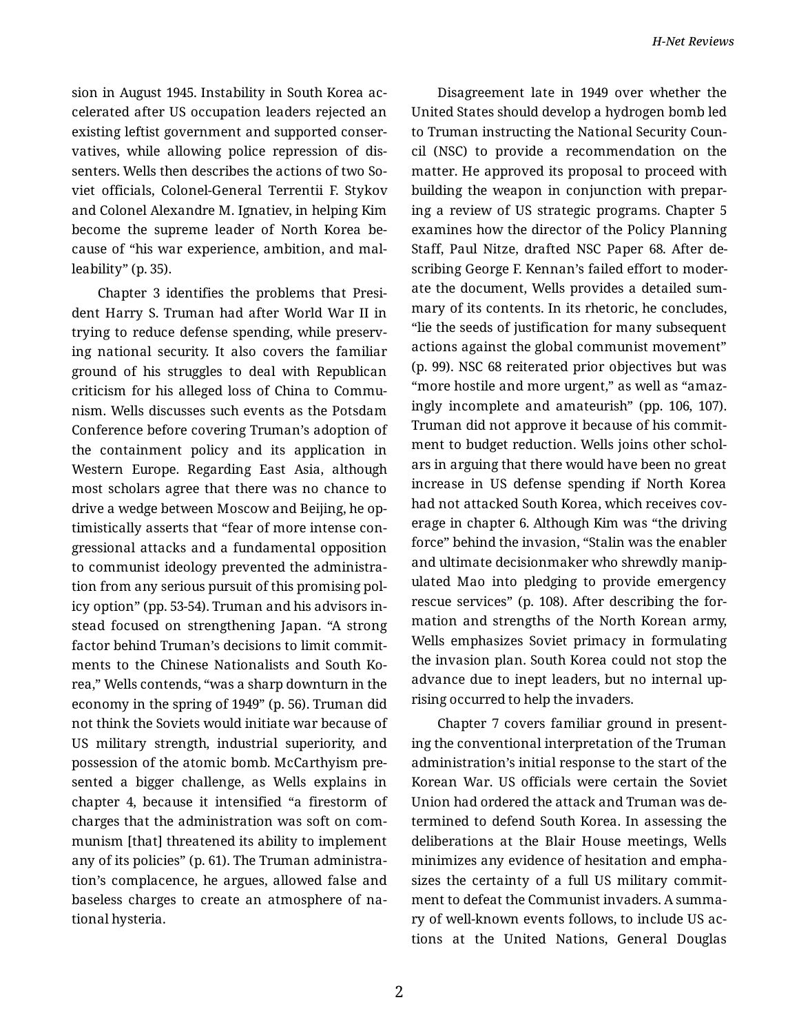sion in August 1945. Instability in South Korea ac‐ celerated after US occupation leaders rejected an existing leftist government and supported conser‐ vatives, while allowing police repression of dis‐ senters. Wells then describes the actions of two Soviet officials, Colonel-General Terrentii F. Stykov and Colonel Alexandre M. Ignatiev, in helping Kim become the supreme leader of North Korea be‐ cause of "his war experience, ambition, and mal‐ leability" (p. 35).

Chapter 3 identifies the problems that Presi‐ dent Harry S. Truman had after World War II in trying to reduce defense spending, while preserv‐ ing national security. It also covers the familiar ground of his struggles to deal with Republican criticism for his alleged loss of China to Communism. Wells discusses such events as the Potsdam Conference before covering Truman's adoption of the containment policy and its application in Western Europe. Regarding East Asia, although most scholars agree that there was no chance to drive a wedge between Moscow and Beijing, he op‐ timistically asserts that "fear of more intense con‐ gressional attacks and a fundamental opposition to communist ideology prevented the administra‐ tion from any serious pursuit of this promising pol‐ icy option" (pp. 53-54). Truman and his advisors in‐ stead focused on strengthening Japan. "A strong factor behind Truman's decisions to limit commit‐ ments to the Chinese Nationalists and South Ko‐ rea," Wells contends, "was a sharp downturn in the economy in the spring of 1949" (p. 56). Truman did not think the Soviets would initiate war because of US military strength, industrial superiority, and possession of the atomic bomb. McCarthyism pre‐ sented a bigger challenge, as Wells explains in chapter 4, because it intensified "a firestorm of charges that the administration was soft on com‐ munism [that] threatened its ability to implement any of its policies" (p. 61). The Truman administra‐ tion's complacence, he argues, allowed false and baseless charges to create an atmosphere of na‐ tional hysteria.

Disagreement late in 1949 over whether the United States should develop a hydrogen bomb led to Truman instructing the National Security Coun‐ cil (NSC) to provide a recommendation on the matter. He approved its proposal to proceed with building the weapon in conjunction with prepar‐ ing a review of US strategic programs. Chapter 5 examines how the director of the Policy Planning Staff, Paul Nitze, drafted NSC Paper 68. After de‐ scribing George F. Kennan's failed effort to moder‐ ate the document, Wells provides a detailed sum‐ mary of its contents. In its rhetoric, he concludes, "lie the seeds of justification for many subsequent actions against the global communist movement" (p. 99). NSC 68 reiterated prior objectives but was "more hostile and more urgent," as well as "amaz‐ ingly incomplete and amateurish" (pp. 106, 107). Truman did not approve it because of his commit‐ ment to budget reduction. Wells joins other schol‐ ars in arguing that there would have been no great increase in US defense spending if North Korea had not attacked South Korea, which receives cov‐ erage in chapter 6. Although Kim was "the driving force" behind the invasion, "Stalin was the enabler and ultimate decisionmaker who shrewdly manip‐ ulated Mao into pledging to provide emergency rescue services" (p. 108). After describing the for‐ mation and strengths of the North Korean army, Wells emphasizes Soviet primacy in formulating the invasion plan. South Korea could not stop the advance due to inept leaders, but no internal up‐ rising occurred to help the invaders.

Chapter 7 covers familiar ground in present‐ ing the conventional interpretation of the Truman administration's initial response to the start of the Korean War. US officials were certain the Soviet Union had ordered the attack and Truman was de‐ termined to defend South Korea. In assessing the deliberations at the Blair House meetings, Wells minimizes any evidence of hesitation and empha‐ sizes the certainty of a full US military commit‐ ment to defeat the Communist invaders. A summa‐ ry of well-known events follows, to include US ac‐ tions at the United Nations, General Douglas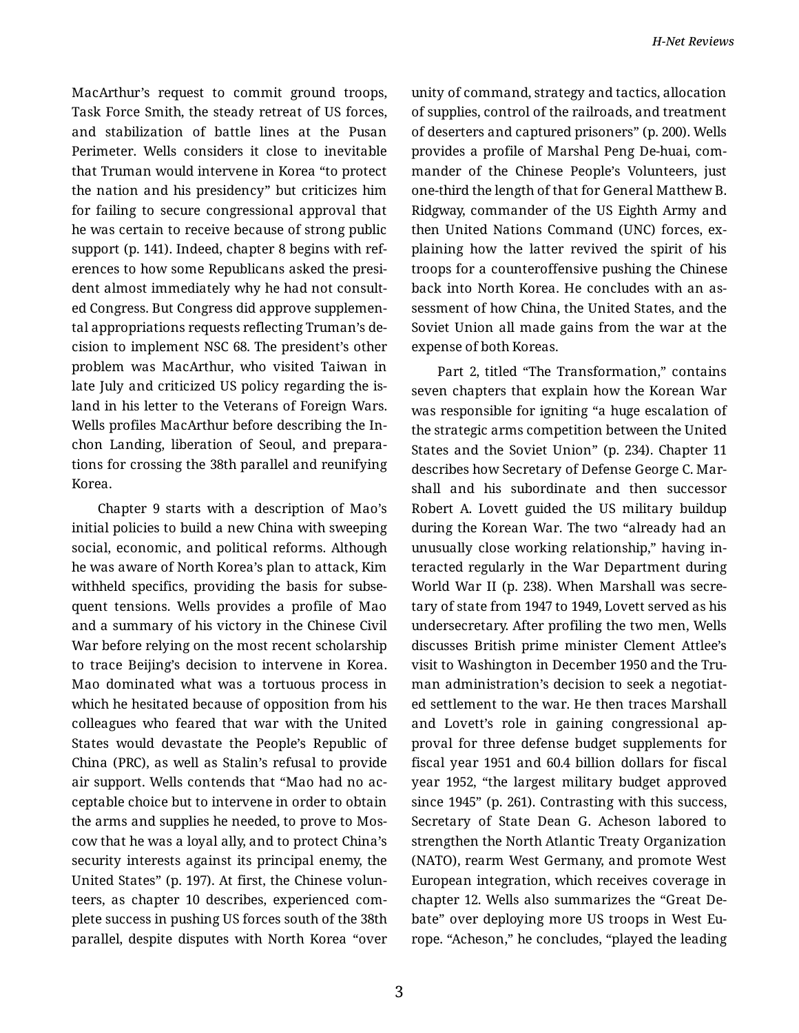MacArthur's request to commit ground troops, Task Force Smith, the steady retreat of US forces, and stabilization of battle lines at the Pusan Perimeter. Wells considers it close to inevitable that Truman would intervene in Korea "to protect the nation and his presidency" but criticizes him for failing to secure congressional approval that he was certain to receive because of strong public support (p. 141). Indeed, chapter 8 begins with ref‐ erences to how some Republicans asked the presi‐ dent almost immediately why he had not consult‐ ed Congress. But Congress did approve supplemen‐ tal appropriations requests reflecting Truman's de‐ cision to implement NSC 68. The president's other problem was MacArthur, who visited Taiwan in late July and criticized US policy regarding the is‐ land in his letter to the Veterans of Foreign Wars. Wells profiles MacArthur before describing the In‐ chon Landing, liberation of Seoul, and prepara‐ tions for crossing the 38th parallel and reunifying Korea.

Chapter 9 starts with a description of Mao's initial policies to build a new China with sweeping social, economic, and political reforms. Although he was aware of North Korea's plan to attack, Kim withheld specifics, providing the basis for subse‐ quent tensions. Wells provides a profile of Mao and a summary of his victory in the Chinese Civil War before relying on the most recent scholarship to trace Beijing's decision to intervene in Korea. Mao dominated what was a tortuous process in which he hesitated because of opposition from his colleagues who feared that war with the United States would devastate the People's Republic of China (PRC), as well as Stalin's refusal to provide air support. Wells contends that "Mao had no ac‐ ceptable choice but to intervene in order to obtain the arms and supplies he needed, to prove to Mos‐ cow that he was a loyal ally, and to protect China's security interests against its principal enemy, the United States" (p. 197). At first, the Chinese volun‐ teers, as chapter 10 describes, experienced com‐ plete success in pushing US forces south of the 38th parallel, despite disputes with North Korea "over

unity of command, strategy and tactics, allocation of supplies, control of the railroads, and treatment of deserters and captured prisoners" (p. 200). Wells provides a profile of Marshal Peng De-huai, com‐ mander of the Chinese People's Volunteers, just one-third the length of that for General Matthew B. Ridgway, commander of the US Eighth Army and then United Nations Command (UNC) forces, ex‐ plaining how the latter revived the spirit of his troops for a counteroffensive pushing the Chinese back into North Korea. He concludes with an as‐ sessment of how China, the United States, and the Soviet Union all made gains from the war at the expense of both Koreas.

Part 2, titled "The Transformation," contains seven chapters that explain how the Korean War was responsible for igniting "a huge escalation of the strategic arms competition between the United States and the Soviet Union" (p. 234). Chapter 11 describes how Secretary of Defense George C. Mar‐ shall and his subordinate and then successor Robert A. Lovett guided the US military buildup during the Korean War. The two "already had an unusually close working relationship," having in‐ teracted regularly in the War Department during World War II (p. 238). When Marshall was secre‐ tary of state from 1947 to 1949, Lovett served as his undersecretary. After profiling the two men, Wells discusses British prime minister Clement Attlee's visit to Washington in December 1950 and the Tru‐ man administration's decision to seek a negotiat‐ ed settlement to the war. He then traces Marshall and Lovett's role in gaining congressional ap‐ proval for three defense budget supplements for fiscal year 1951 and 60.4 billion dollars for fiscal year 1952, "the largest military budget approved since 1945" (p. 261). Contrasting with this success, Secretary of State Dean G. Acheson labored to strengthen the North Atlantic Treaty Organization (NATO), rearm West Germany, and promote West European integration, which receives coverage in chapter 12. Wells also summarizes the "Great De‐ bate" over deploying more US troops in West Eu‐ rope. "Acheson," he concludes, "played the leading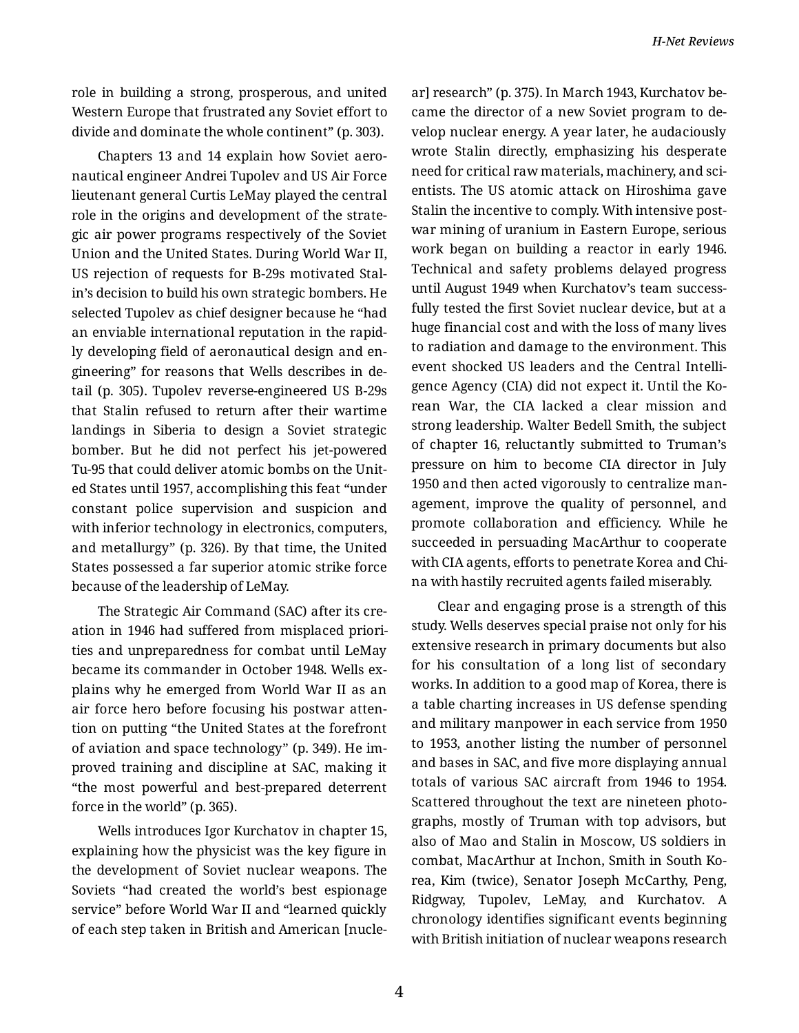role in building a strong, prosperous, and united Western Europe that frustrated any Soviet effort to divide and dominate the whole continent" (p. 303).

Chapters 13 and 14 explain how Soviet aero‐ nautical engineer Andrei Tupolev and US Air Force lieutenant general Curtis LeMay played the central role in the origins and development of the strate‐ gic air power programs respectively of the Soviet Union and the United States. During World War II, US rejection of requests for B-29s motivated Stal‐ in's decision to build his own strategic bombers. He selected Tupolev as chief designer because he "had an enviable international reputation in the rapid‐ ly developing field of aeronautical design and en‐ gineering" for reasons that Wells describes in de‐ tail (p. 305). Tupolev reverse-engineered US B-29s that Stalin refused to return after their wartime landings in Siberia to design a Soviet strategic bomber. But he did not perfect his jet-powered Tu-95 that could deliver atomic bombs on the Unit‐ ed States until 1957, accomplishing this feat "under constant police supervision and suspicion and with inferior technology in electronics, computers, and metallurgy" (p. 326). By that time, the United States possessed a far superior atomic strike force because of the leadership of LeMay.

The Strategic Air Command (SAC) after its cre‐ ation in 1946 had suffered from misplaced priori‐ ties and unpreparedness for combat until LeMay became its commander in October 1948. Wells ex‐ plains why he emerged from World War II as an air force hero before focusing his postwar atten‐ tion on putting "the United States at the forefront of aviation and space technology" (p. 349). He im‐ proved training and discipline at SAC, making it "the most powerful and best-prepared deterrent force in the world" (p. 365).

Wells introduces Igor Kurchatov in chapter 15, explaining how the physicist was the key figure in the development of Soviet nuclear weapons. The Soviets "had created the world's best espionage service" before World War II and "learned quickly of each step taken in British and American [nucle‐ ar] research" (p. 375). In March 1943, Kurchatov be‐ came the director of a new Soviet program to de‐ velop nuclear energy. A year later, he audaciously wrote Stalin directly, emphasizing his desperate need for critical raw materials, machinery, and scientists. The US atomic attack on Hiroshima gave Stalin the incentive to comply. With intensive post‐ war mining of uranium in Eastern Europe, serious work began on building a reactor in early 1946. Technical and safety problems delayed progress until August 1949 when Kurchatov's team success‐ fully tested the first Soviet nuclear device, but at a huge financial cost and with the loss of many lives to radiation and damage to the environment. This event shocked US leaders and the Central Intelli‐ gence Agency (CIA) did not expect it. Until the Ko‐ rean War, the CIA lacked a clear mission and strong leadership. Walter Bedell Smith, the subject of chapter 16, reluctantly submitted to Truman's pressure on him to become CIA director in July 1950 and then acted vigorously to centralize man‐ agement, improve the quality of personnel, and promote collaboration and efficiency. While he succeeded in persuading MacArthur to cooperate with CIA agents, efforts to penetrate Korea and Chi‐ na with hastily recruited agents failed miserably.

Clear and engaging prose is a strength of this study. Wells deserves special praise not only for his extensive research in primary documents but also for his consultation of a long list of secondary works. In addition to a good map of Korea, there is a table charting increases in US defense spending and military manpower in each service from 1950 to 1953, another listing the number of personnel and bases in SAC, and five more displaying annual totals of various SAC aircraft from 1946 to 1954. Scattered throughout the text are nineteen photo‐ graphs, mostly of Truman with top advisors, but also of Mao and Stalin in Moscow, US soldiers in combat, MacArthur at Inchon, Smith in South Ko‐ rea, Kim (twice), Senator Joseph McCarthy, Peng, Ridgway, Tupolev, LeMay, and Kurchatov. A chronology identifies significant events beginning with British initiation of nuclear weapons research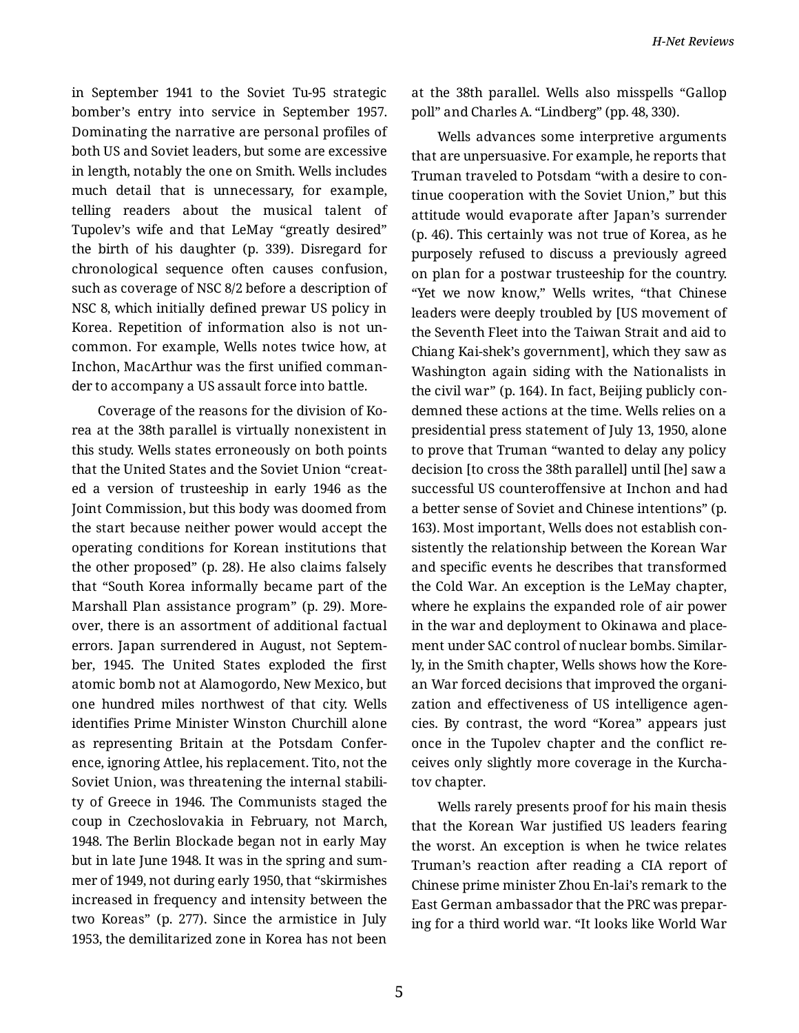in September 1941 to the Soviet Tu-95 strategic bomber's entry into service in September 1957. Dominating the narrative are personal profiles of both US and Soviet leaders, but some are excessive in length, notably the one on Smith. Wells includes much detail that is unnecessary, for example, telling readers about the musical talent of Tupolev's wife and that LeMay "greatly desired" the birth of his daughter (p. 339). Disregard for chronological sequence often causes confusion, such as coverage of NSC 8/2 before a description of NSC 8, which initially defined prewar US policy in Korea. Repetition of information also is not un‐ common. For example, Wells notes twice how, at Inchon, MacArthur was the first unified comman‐ der to accompany a US assault force into battle.

Coverage of the reasons for the division of Ko‐ rea at the 38th parallel is virtually nonexistent in this study. Wells states erroneously on both points that the United States and the Soviet Union "creat‐ ed a version of trusteeship in early 1946 as the Joint Commission, but this body was doomed from the start because neither power would accept the operating conditions for Korean institutions that the other proposed" (p. 28). He also claims falsely that "South Korea informally became part of the Marshall Plan assistance program" (p. 29). More‐ over, there is an assortment of additional factual errors. Japan surrendered in August, not Septem‐ ber, 1945. The United States exploded the first atomic bomb not at Alamogordo, New Mexico, but one hundred miles northwest of that city. Wells identifies Prime Minister Winston Churchill alone as representing Britain at the Potsdam Confer‐ ence, ignoring Attlee, his replacement. Tito, not the Soviet Union, was threatening the internal stabili‐ ty of Greece in 1946. The Communists staged the coup in Czechoslovakia in February, not March, 1948. The Berlin Blockade began not in early May but in late June 1948. It was in the spring and sum‐ mer of 1949, not during early 1950, that "skirmishes increased in frequency and intensity between the two Koreas" (p. 277). Since the armistice in July 1953, the demilitarized zone in Korea has not been

at the 38th parallel. Wells also misspells "Gallop poll" and Charles A. "Lindberg" (pp. 48, 330).

Wells advances some interpretive arguments that are unpersuasive. For example, he reports that Truman traveled to Potsdam "with a desire to con‐ tinue cooperation with the Soviet Union," but this attitude would evaporate after Japan's surrender (p. 46). This certainly was not true of Korea, as he purposely refused to discuss a previously agreed on plan for a postwar trusteeship for the country. "Yet we now know," Wells writes, "that Chinese leaders were deeply troubled by [US movement of the Seventh Fleet into the Taiwan Strait and aid to Chiang Kai-shek's government], which they saw as Washington again siding with the Nationalists in the civil war" (p. 164). In fact, Beijing publicly con‐ demned these actions at the time. Wells relies on a presidential press statement of July 13, 1950, alone to prove that Truman "wanted to delay any policy decision [to cross the 38th parallel] until [he] saw a successful US counteroffensive at Inchon and had a better sense of Soviet and Chinese intentions" (p. 163). Most important, Wells does not establish con‐ sistently the relationship between the Korean War and specific events he describes that transformed the Cold War. An exception is the LeMay chapter, where he explains the expanded role of air power in the war and deployment to Okinawa and place‐ ment under SAC control of nuclear bombs. Similar‐ ly, in the Smith chapter, Wells shows how the Kore‐ an War forced decisions that improved the organi‐ zation and effectiveness of US intelligence agen‐ cies. By contrast, the word "Korea" appears just once in the Tupolev chapter and the conflict re‐ ceives only slightly more coverage in the Kurcha‐ tov chapter.

Wells rarely presents proof for his main thesis that the Korean War justified US leaders fearing the worst. An exception is when he twice relates Truman's reaction after reading a CIA report of Chinese prime minister Zhou En-lai's remark to the East German ambassador that the PRC was prepar‐ ing for a third world war. "It looks like World War

5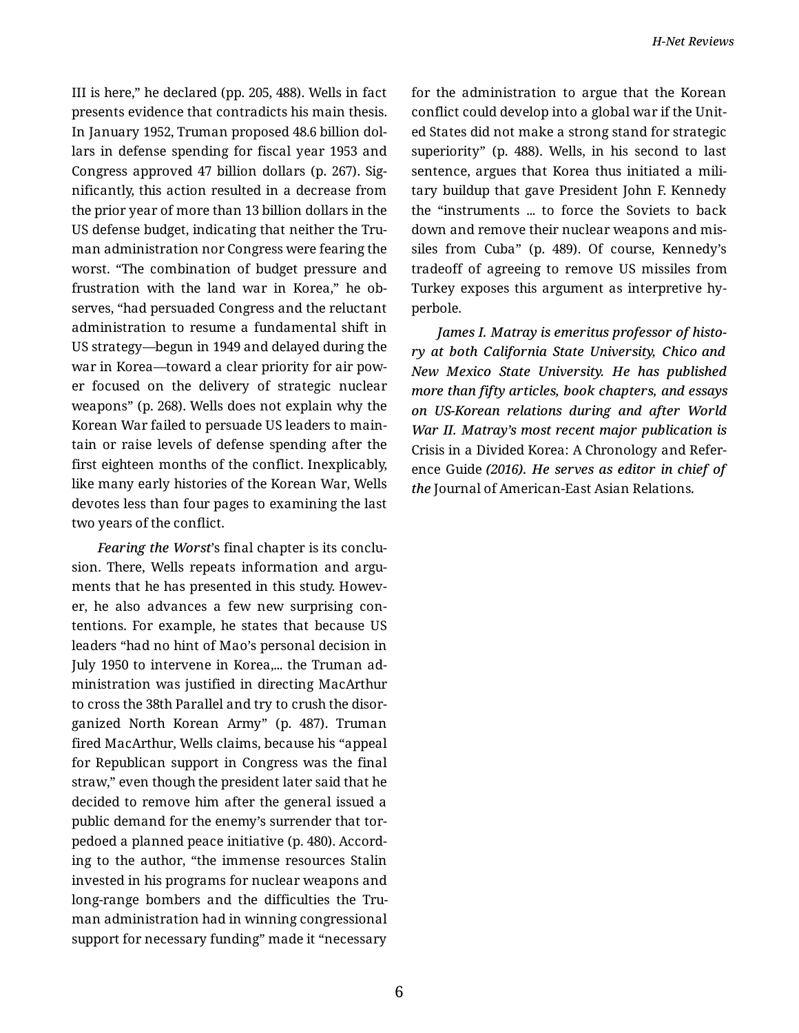III is here," he declared (pp. 205, 488). Wells in fact presents evidence that contradicts his main thesis. In January 1952, Truman proposed 48.6 billion dol‐ lars in defense spending for fiscal year 1953 and Congress approved 47 billion dollars (p. 267). Sig‐ nificantly, this action resulted in a decrease from the prior year of more than 13 billion dollars in the US defense budget, indicating that neither the Tru‐ man administration nor Congress were fearing the worst. "The combination of budget pressure and frustration with the land war in Korea," he ob‐ serves, "had persuaded Congress and the reluctant administration to resume a fundamental shift in US strategy—begun in 1949 and delayed during the war in Korea—toward a clear priority for air pow‐ er focused on the delivery of strategic nuclear weapons" (p. 268). Wells does not explain why the Korean War failed to persuade US leaders to main‐ tain or raise levels of defense spending after the first eighteen months of the conflict. Inexplicably, like many early histories of the Korean War, Wells devotes less than four pages to examining the last two years of the conflict.

*Fearing the Worst*'s final chapter is its conclu‐ sion. There, Wells repeats information and arguments that he has presented in this study. Howev‐ er, he also advances a few new surprising con‐ tentions. For example, he states that because US leaders "had no hint of Mao's personal decision in July 1950 to intervene in Korea,... the Truman administration was justified in directing MacArthur to cross the 38th Parallel and try to crush the disor‐ ganized North Korean Army" (p. 487). Truman fired MacArthur, Wells claims, because his "appeal for Republican support in Congress was the final straw," even though the president later said that he decided to remove him after the general issued a public demand for the enemy's surrender that torpedoed a planned peace initiative (p. 480). Accord‐ ing to the author, "the immense resources Stalin invested in his programs for nuclear weapons and long-range bombers and the difficulties the Tru‐ man administration had in winning congressional support for necessary funding" made it "necessary

for the administration to argue that the Korean conflict could develop into a global war if the Unit‐ ed States did not make a strong stand for strategic superiority" (p. 488). Wells, in his second to last sentence, argues that Korea thus initiated a military buildup that gave President John F. Kennedy the "instruments ... to force the Soviets to back down and remove their nuclear weapons and mis‐ siles from Cuba" (p. 489). Of course, Kennedy's tradeoff of agreeing to remove US missiles from Turkey exposes this argument as interpretive hy‐ perbole.

*James I. Matray is emeritus professor of histo‐ ry at both California State University, Chico and New Mexico State University. He has published more than fifty articles, book chapters, and essays on US-Korean relations during and after World War II. Matray's most recent major publication is* Crisis in a Divided Korea: A Chronology and Refer‐ ence Guide *(2016). He serves as editor in chief of the* Journal of American-East Asian Relations*.*